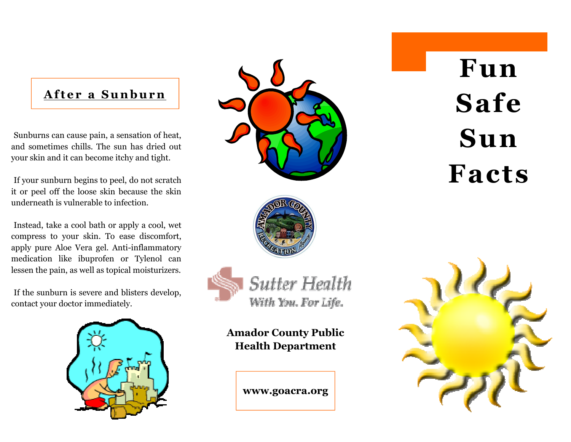## After a Sunburn

Sunburns can cause pain, a sensation of heat, and sometimes chills. The sun has dried out your skin and it can become itchy and tight.

If your sunburn begins to peel, do not scratch it or peel off the loose skin because the skin underneath is vulnerable to infection.

Instead, take a cool bath or apply a cool, wet compress to your skin. To ease discomfort, apply pure Aloe Vera gel. Anti-inflammatory medication like ibuprofen or Tylenol can lessen the pain, as well as topical moisturizers.

If the sunburn is severe and blisters develop, contact your doctor immediately.





# Fun Safe Sun Facts





**Sutter Health** With You. For Life.

Amador County Public Health Department

www.goacra.org